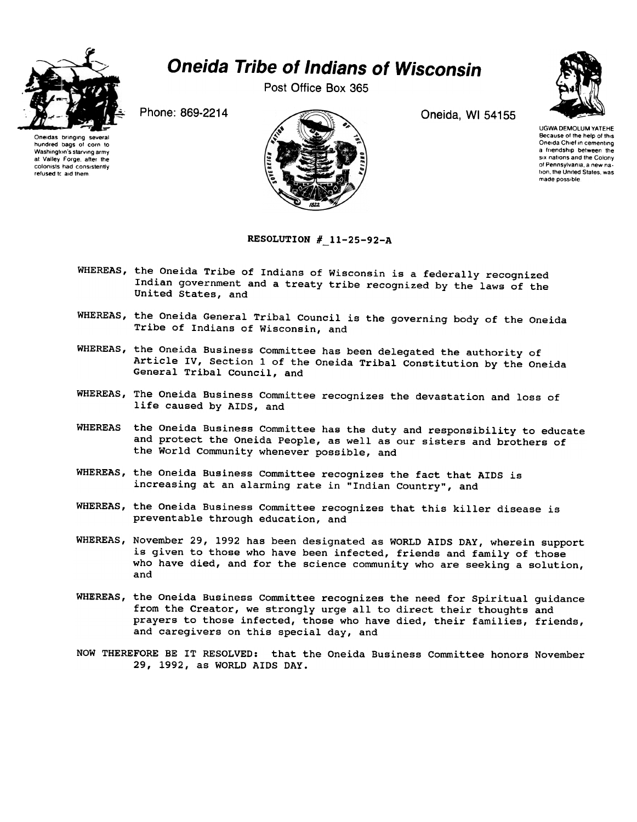

Post Office Box 365







UGWA DEMOlUM YATEHE Because of the help of this Oneida Chief In cementing a friendship between the six nations and the Colony of Pennsylvania, a new nation, the United States, was made possible

RESOLUTION  $# 11-25-92-A$ 

- WHEREAS, the Oneida Tribe of Indians of Wisconsin is a federally recognized Indian government and a treaty tribe recognized by the laws of the United States, and
- WHEREAS, the Oneida General Tribal Council is the governing body of the Oneida Tribe of Indians of Wisconsin, and
- WHEREAS, the Oneida Business Committee has been delegated the authority of Article IV, Section 1 of the Oneida Tribal Constitution by the Oneida General Tribal Council, and
- WHEREAS, The Oneida Business Committee recognizes the devastation and loss of life caused by AIDS, and
- WHEREAS the Oneida Business Committee has the duty and responsibility to educate and protect the Oneida People, as well as our sisters and brothers of the World Community whenever possible, and
- WHEREAS, the Oneida Business Committee recognizes the fact that AIDS is increasing at an alarming rate in "Indian Country", and
- WHEREAS, the Oneida Business Committee recognizes that this killer disease is preventable through education, and
- WHEREAS, November 29, 1992 has been designated as WORLD AIDS DAY, wherein support is given to those who have been infected, friends and family of those who have died, and for the science community who are seeking a solution, and
- WHEREAS, the Oneida Business Committee recognizes the need for Spiritual guidance from the Creator, we strongly urge all to direct their thoughts and prayers to those infected, those who have died, their families, friends, and caregivers on this special day, and
- NOW THEREFORE BE IT RESOLVED: that the Oneida Business Committee honors November 29, 1992, as WORLD AIDS DAY.